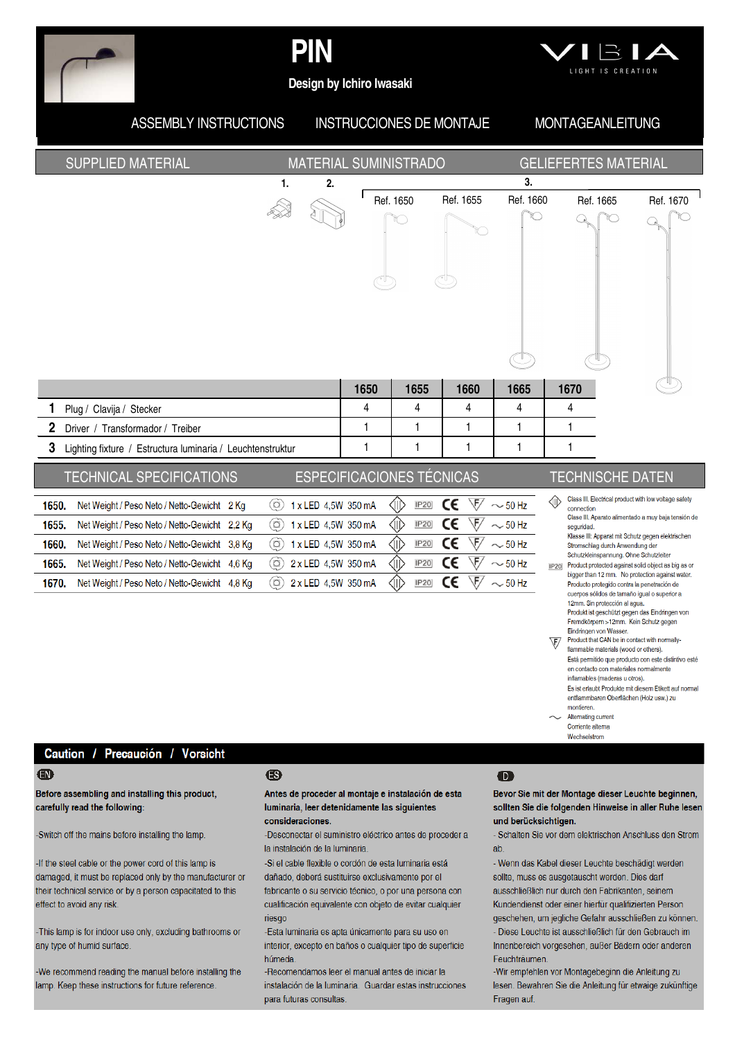

# PIN



Design by Ichiro Iwasaki

#### **ASSEMBLY INSTRUCTIONS INSTRUCCIONES DE MONTAJE MONTAGEANLEITUNG SUPPLIED MATERIAL GELIEFERTES MATERIAL MATERIAL SUMINISTRADO**  $\mathbf{1}$  $2.$  $\overline{3}$ Ref. 1650 Ref. 1660 Ref. 1670 Ref. 1655 Ref. 1665 V. ∩ 1650 1655 1660 1665 1670  $\overline{4}$  $\overline{4}$  $\overline{4}$ 4  $\overline{4}$ Plug / Clavija / Stecker  $\mathbf{1}$  $\mathbf{1}$  $\mathbf{1}$  $\mathbf{1}$  $\mathbf{1}$ Driver / Transformador / Treiber Lighting fixture / Estructura luminaria / Leuchtenstruktur  $\mathbf{1}$  $\mathbf{1}$  $\mathbf{1}$  $\mathbf{1}$  $\mathbf{1}$ **ESPECIFICACIONES TÉCNICAS TECHNICAL SPECIFICATIONS TECHNISCHE DATEN** Class III. Electrical product with low voltage safety ∕⊪  $\circledcirc$ ∕ID C€  $\sqrt{5/1} \sim 50$  Hz 1650. Net Weight / Peso Neto / Netto-Gewicht 2 Kg 1 x LED 4,5W 350 mA **IP20** connection Clase III. Aparato alimentado a muy baja tensión de CE  $\circledR$ ∕⊪ **IP20**  $\sqrt{F}$  $\sim$  50 Hz 1 x LED 4,5W 350 mA 1655 Net Weight / Peso Neto / Netto-Gewicht 2,2 Kg seguridad Klasse III: Apparat mit Schutz gegen elektrischen C€  $\sqrt{F}$ 1 x LED 4,5W 350 mA ⊲ID **IP20**  $\sim$  50 Hz 1660 Net Weight / Peso Neto / Netto-Gewicht 3,8 Kg  $\circ$ Stromschlag durch Anwendung de Schutzkleinspannung. Ohne Schutzleiter  $F/$ **IP20** CE  $\sim$  50 Hz 1665. Net Weight / Peso Neto / Netto-Gewicht 4,6 Kg (බ) 2 x LED 4,5W 350 mA <IID Product protected against solid object as big as or  $IP20$ bigger than 12 mm. No protection against water. 1670. Net Weight / Peso Neto / Netto-Gewicht 4,8 Kg (0 2 x LED 4.5W 350 mA **IP20** CE \F  $\sim$  50 Hz Producto protegido contra la penetración de cueroos sólidos de tamaño igual o superior a 12mm. Sin protección al agua. Produkt ist geschützt gegen das Eindringen von<br>Fremdkörpern >12mm. Kein Schutz gegen Eindringen von Wasser. Product that CAN be in contact with normally- $\sqrt{F}$ flammable materials (wood or others). Está permitido que producto con este distintivo esté en contacto con materiales normalmente inflamables (maderas u otros).

Es ist erlaubt Produkte mit diesem Etikett auf normal entflammbaren Oberflächen (Holz usw.) zu montieren.

Alternating current Corriente alterna Wechselstrom

Caution / Precaución / Vorsicht

### $\mathbf \Omega$

 $\mathbf{1}$ 

 $\mathfrak{p}$ 

3

Before assembling and installing this product, carefully read the following:

-Switch off the mains before installing the lamp

-If the steel cable or the power cord of this lamp is damaged, it must be replaced only by the manufacturer or their technical service or by a person capacitated to this effect to avoid any risk.

-This lamp is for indoor use only, excluding bathrooms or any type of humid surface

We recommend reading the manual before installing the lamp. Keep these instructions for future reference.

### 43

### Antes de proceder al montaje e instalación de esta luminaria, leer detenidamente las siquientes consideraciones.

-Desconectar el suministro eléctrico antes de proceder a la instalación de la luminaria

-Si el cable flexible o cordón de esta luminaria está dañado, deberá sustituirse exclusivamente por el fabricante o su servicio técnico, o por una persona con cualificación equivalente con objeto de evitar cualquier riesad

-Esta luminaria es apta únicamente para su uso en interior, excepto en baños o cualquier tipo de superficie húmeda

-Recomendamos leer el manual antes de iniciar la instalación de la luminaria. Guardar estas instrucciones para futuras consultas.

### $\bullet$

Bevor Sie mit der Montage dieser Leuchte beginnen, sollten Sie die folgenden Hinweise in aller Ruhe lesen und berücksichtigen.

- Schalten Sie vor dem elektrischen Anschluss den Strom  $ab$ 

- Wenn das Kabel dieser Leuchte beschädigt werden sollte, muss es ausgetauscht werden. Dies darf ausschließlich nur durch den Fabrikanten, seinem Kundendienst oder einer hierfür qualifizierten Person geschehen, um jegliche Gefahr ausschließen zu können. - Diese Leuchte ist ausschließlich für den Gebrauch im Innenbereich vorgesehen, außer Bädern oder anderen Feuchträumen

-Wir empfehlen vor Montagebeginn die Anleitung zu lesen. Bewahren Sie die Anleitung für etwaige zukünftige Fragen auf.